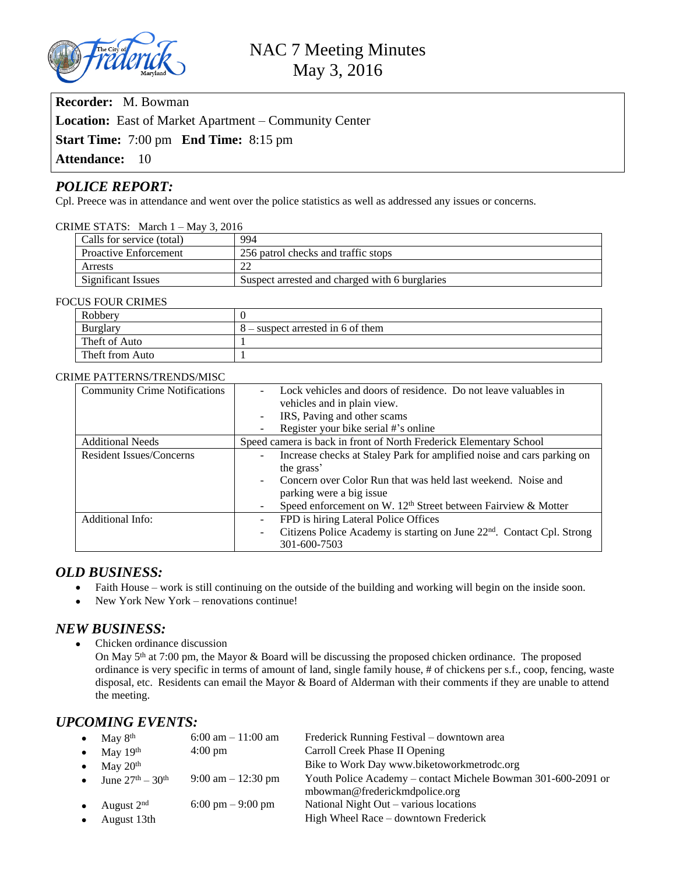

**Recorder:** M. Bowman

**Location:** East of Market Apartment – Community Center

**Start Time:** 7:00 pm **End Time:** 8:15 pm

Attendance: 10

# *POLICE REPORT:*

Cpl. Preece was in attendance and went over the police statistics as well as addressed any issues or concerns.

| CRIME STATS: March $1 -$ May 3, 2016 |                              |                                                |  |  |  |  |
|--------------------------------------|------------------------------|------------------------------------------------|--|--|--|--|
|                                      | Calls for service (total)    | 994                                            |  |  |  |  |
|                                      | <b>Proactive Enforcement</b> | 256 patrol checks and traffic stops            |  |  |  |  |
|                                      | Arrests                      |                                                |  |  |  |  |
|                                      | Significant Issues           | Suspect arrested and charged with 6 burglaries |  |  |  |  |

#### FOCUS FOUR CRIMES

| Robbery         |                                     |
|-----------------|-------------------------------------|
| Burglary        | $8$ – suspect arrested in 6 of them |
| Theft of Auto   |                                     |
| Theft from Auto |                                     |

#### CRIME PATTERNS/TRENDS/MISC

| <b>Community Crime Notifications</b> | Lock vehicles and doors of residence. Do not leave valuables in<br>$\sim$                                      |  |  |  |
|--------------------------------------|----------------------------------------------------------------------------------------------------------------|--|--|--|
|                                      | vehicles and in plain view.                                                                                    |  |  |  |
|                                      | IRS, Paving and other scams<br>$\overline{\phantom{a}}$                                                        |  |  |  |
|                                      | Register your bike serial #'s online<br>$\blacksquare$                                                         |  |  |  |
| <b>Additional Needs</b>              | Speed camera is back in front of North Frederick Elementary School                                             |  |  |  |
| <b>Resident Issues/Concerns</b>      | Increase checks at Staley Park for amplified noise and cars parking on                                         |  |  |  |
|                                      | the grass'                                                                                                     |  |  |  |
|                                      | Concern over Color Run that was held last weekend. Noise and<br>$\overline{\phantom{a}}$                       |  |  |  |
|                                      | parking were a big issue                                                                                       |  |  |  |
|                                      | Speed enforcement on W. 12 <sup>th</sup> Street between Fairview & Motter<br>$\overline{\phantom{a}}$          |  |  |  |
| Additional Info:                     | FPD is hiring Lateral Police Offices<br>$\overline{\phantom{a}}$                                               |  |  |  |
|                                      | Citizens Police Academy is starting on June 22 <sup>nd</sup> . Contact Cpl. Strong<br>$\overline{\phantom{a}}$ |  |  |  |
|                                      | 301-600-7503                                                                                                   |  |  |  |

## *OLD BUSINESS:*

- Faith House work is still continuing on the outside of the building and working will begin on the inside soon.
- New York New York renovations continue!

## *NEW BUSINESS:*

 Chicken ordinance discussion On May 5th at 7:00 pm, the Mayor & Board will be discussing the proposed chicken ordinance. The proposed ordinance is very specific in terms of amount of land, single family house, # of chickens per s.f., coop, fencing, waste disposal, etc. Residents can email the Mayor & Board of Alderman with their comments if they are unable to attend the meeting.

# *UPCOMING EVENTS:*

|           | • May $8th$                | $6:00$ am $-11:00$ am                | Frederick Running Festival – downtown area                                                     |
|-----------|----------------------------|--------------------------------------|------------------------------------------------------------------------------------------------|
|           | • May $19th$               | $4:00 \text{ pm}$                    | Carroll Creek Phase II Opening                                                                 |
|           | • May $20th$               |                                      | Bike to Work Day www.biketoworkmetrodc.org                                                     |
|           | • June $27^{th} - 30^{th}$ | $9:00 \text{ am} - 12:30 \text{ pm}$ | Youth Police Academy - contact Michele Bowman 301-600-2091 or<br>mbowman@frederickmdpolice.org |
| $\bullet$ | August $2nd$               | 6:00 pm $-9:00$ pm                   | National Night Out – various locations                                                         |
|           | August 13th                |                                      | High Wheel Race – downtown Frederick                                                           |